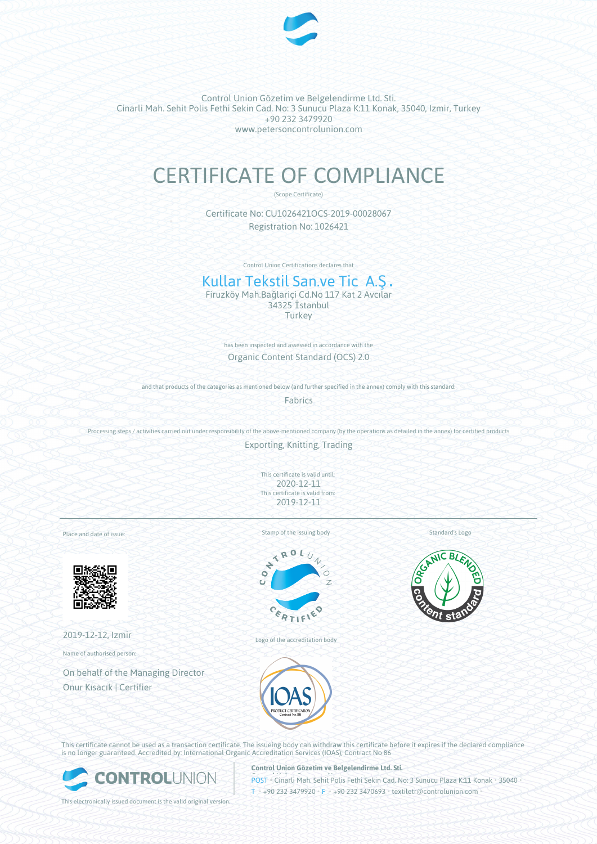

Control Union Gözetim ve Belgelendirme Ltd. Sti. Cinarli Mah. Sehit Polis Fethi Sekin Cad. No: 3 Sunucu Plaza K:11 Konak, 35040, Izmir, Turkey +90 232 3479920 www.petersoncontrolunion.com

# CERTIFICATE OF COMPLIANCE

(Scope Certificate)

Certificate No: CU1026421OCS-2019-00028067 Registration No: 1026421

Control Union Certifications declares that

# Kullar Tekstil San.ve Tic A.Ş.

Firuzköy Mah.Bağlariçi Cd.No 117 Kat 2 Avcılar 34325 İstanbul **Turkey** 

> has been inspected and assessed in accordance with the Organic Content Standard (OCS) 2.0

and that products of the categories as mentioned below (and further specified in the annex) comply with this standard:

Fabrics

Processing steps / activities carried out under responsibility of the above-mentioned company (by the operations as detailed in the annex) for certified products

Exporting, Knitting, Trading

This certificate is valid until: 2020-12-11 This certificate is valid from: 2019-12-11

Place and date of issue:



2019-12-12, Izmir

Name of authorised person:

On behalf of the Managing Director Onur Kısacık | Certifier

Stamp of the issuing body



Logo of the accreditation body



Standard's Logo

This certificate cannot be used as a transaction certificate. The issueing body can withdraw this certificate before it expires if the declared compliance is no longer guaranteed. Accredited by: International Organic Accreditation Services (IOAS); Contract No 86



**Control Union Gözetim ve Belgelendirme Ltd. Sti.**

**POST • Cinarli Mah. Sehit Polis Fethi Sekin Cad. No: 3 Sunucu Plaza K:11 Konak • 35040 •**  $I_{\text{H}}$  +90 232 3479920 • F • +90 232 3470693 • textiletr@controlunion.com

This electronically issued document is the valid original version.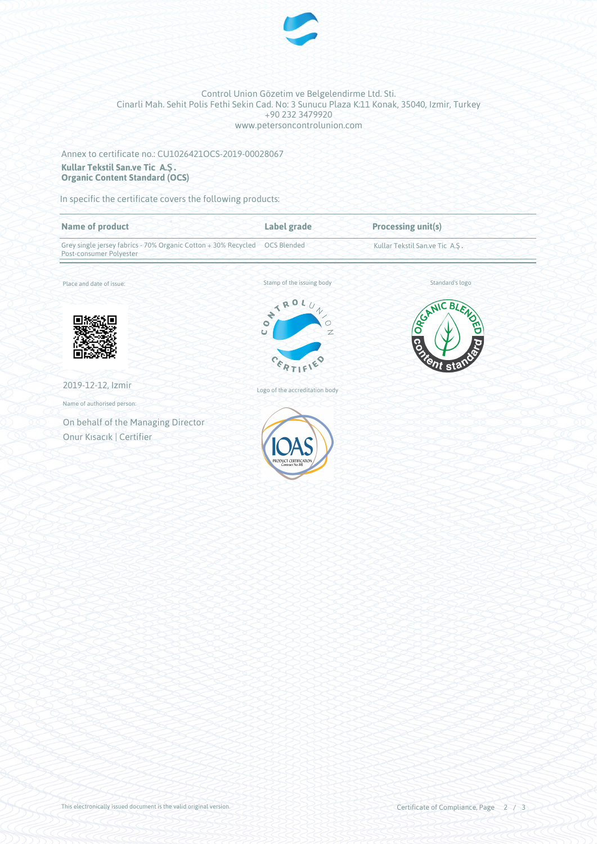

#### Control Union Gözetim ve Belgelendirme Ltd. Sti. Cinarli Mah. Sehit Polis Fethi Sekin Cad. No: 3 Sunucu Plaza K:11 Konak, 35040, Izmir, Turkey +90 232 3479920 www.petersoncontrolunion.com

## Annex to certificate no.: CU1026421OCS-2019-00028067 **Kullar Tekstil San.ve Tic A.Ş. Organic Content Standard (OCS)**

In specific the certificate covers the following products:

| <b>Name of product</b>                                                                    | Label grade                    | <b>Processing unit(s)</b>      |
|-------------------------------------------------------------------------------------------|--------------------------------|--------------------------------|
| Grey single jersey fabrics - 70% Organic Cotton + 30% Recycled<br>Post-consumer Polyester | <b>OCS Blended</b>             | Kullar Tekstil San.ve Tic A.Ş. |
| Place and date of issue:                                                                  | Stamp of the issuing body      | Standard's logo                |
|                                                                                           | ONTROL,<br>O                   | GESANIC ,<br>- BLEN<br>ঀৣ৾     |
|                                                                                           | Ü<br>$\overline{z}$            | б<br><b>Containstant</b>       |
|                                                                                           | $c_{k}$                        |                                |
| 2019-12-12, Izmir                                                                         | Logo of the accreditation body |                                |
| Name of authorised person:                                                                |                                |                                |
| On behalf of the Managing Director                                                        |                                |                                |
| Onur Kısacık   Certifier                                                                  | PRODUCT CERTIFICATIO           |                                |
|                                                                                           | Contract No.86                 |                                |
|                                                                                           |                                |                                |